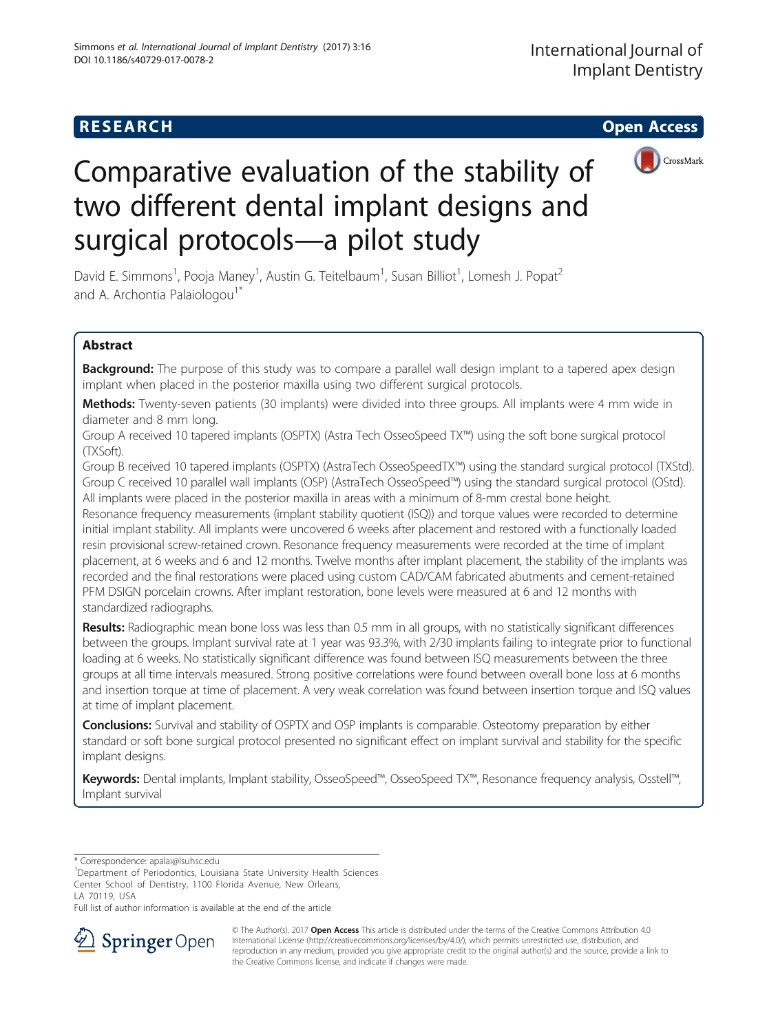# **RESEARCH CHEAR CHEAR CHEAR CHEAR CHEAR CHEAR CHEAR CHEAR CHEAR CHEAR CHEAR CHEAR CHEAR CHEAR CHEAR CHEAR CHEAR**



# Comparative evaluation of the stability of two different dental implant designs and surgical protocols—a pilot study

David E. Simmons<sup>1</sup>, Pooja Maney<sup>1</sup>, Austin G. Teitelbaum<sup>1</sup>, Susan Billiot<sup>1</sup>, Lomesh J. Popat<sup>2</sup> and A. Archontia Palaiologou<sup>1\*</sup>

# Abstract

Background: The purpose of this study was to compare a parallel wall design implant to a tapered apex design implant when placed in the posterior maxilla using two different surgical protocols.

Methods: Twenty-seven patients (30 implants) were divided into three groups. All implants were 4 mm wide in diameter and 8 mm long.

Group A received 10 tapered implants (OSPTX) (Astra Tech OsseoSpeed TX™) using the soft bone surgical protocol (TXSoft).

Group B received 10 tapered implants (OSPTX) (AstraTech OsseoSpeedTX™) using the standard surgical protocol (TXStd). Group C received 10 parallel wall implants (OSP) (AstraTech OsseoSpeed™) using the standard surgical protocol (OStd). All implants were placed in the posterior maxilla in areas with a minimum of 8-mm crestal bone height.

Resonance frequency measurements (implant stability quotient (ISQ)) and torque values were recorded to determine initial implant stability. All implants were uncovered 6 weeks after placement and restored with a functionally loaded resin provisional screw-retained crown. Resonance frequency measurements were recorded at the time of implant placement, at 6 weeks and 6 and 12 months. Twelve months after implant placement, the stability of the implants was recorded and the final restorations were placed using custom CAD/CAM fabricated abutments and cement-retained PFM DSIGN porcelain crowns. After implant restoration, bone levels were measured at 6 and 12 months with standardized radiographs.

Results: Radiographic mean bone loss was less than 0.5 mm in all groups, with no statistically significant differences between the groups. Implant survival rate at 1 year was 93.3%, with 2/30 implants failing to integrate prior to functional loading at 6 weeks. No statistically significant difference was found between ISQ measurements between the three groups at all time intervals measured. Strong positive correlations were found between overall bone loss at 6 months and insertion torque at time of placement. A very weak correlation was found between insertion torque and ISQ values at time of implant placement.

**Conclusions:** Survival and stability of OSPTX and OSP implants is comparable. Osteotomy preparation by either standard or soft bone surgical protocol presented no significant effect on implant survival and stability for the specific implant designs.

Keywords: Dental implants, Implant stability, OsseoSpeed™, OsseoSpeed TX™, Resonance frequency analysis, Osstell™, Implant survival

<sup>1</sup>Department of Periodontics, Louisiana State University Health Sciences Center School of Dentistry, 1100 Florida Avenue, New Orleans, LA 70119, USA

Full list of author information is available at the end of the article



© The Author(s). 2017 **Open Access** This article is distributed under the terms of the Creative Commons Attribution 4.0 International License ([http://creativecommons.org/licenses/by/4.0/\)](http://creativecommons.org/licenses/by/4.0/), which permits unrestricted use, distribution, and reproduction in any medium, provided you give appropriate credit to the original author(s) and the source, provide a link to the Creative Commons license, and indicate if changes were made.

<sup>\*</sup> Correspondence: [apalai@lsuhsc.edu](mailto:apalai@lsuhsc.edu) <sup>1</sup>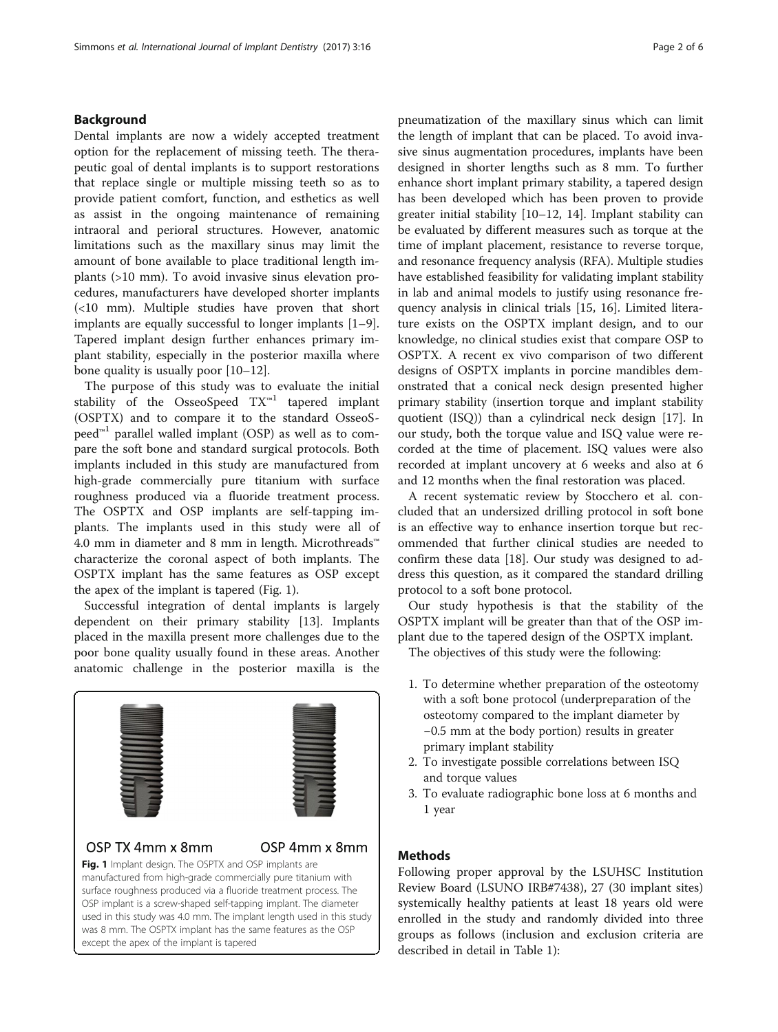### Background

Dental implants are now a widely accepted treatment option for the replacement of missing teeth. The therapeutic goal of dental implants is to support restorations that replace single or multiple missing teeth so as to provide patient comfort, function, and esthetics as well as assist in the ongoing maintenance of remaining intraoral and perioral structures. However, anatomic limitations such as the maxillary sinus may limit the amount of bone available to place traditional length implants (>10 mm). To avoid invasive sinus elevation procedures, manufacturers have developed shorter implants (<10 mm). Multiple studies have proven that short implants are equally successful to longer implants [\[1](#page-5-0)–[9](#page-5-0)]. Tapered implant design further enhances primary implant stability, especially in the posterior maxilla where bone quality is usually poor [\[10](#page-5-0)–[12\]](#page-5-0).

The purpose of this study was to evaluate the initial stability of the OsseoSpeed TX™<sup>1</sup> tapered implant (OSPTX) and to compare it to the standard OsseoS- $\text{peed}^{m1}$  parallel walled implant (OSP) as well as to compare the soft bone and standard surgical protocols. Both implants included in this study are manufactured from high-grade commercially pure titanium with surface roughness produced via a fluoride treatment process. The OSPTX and OSP implants are self-tapping implants. The implants used in this study were all of 4.0 mm in diameter and 8 mm in length. Microthreads™ characterize the coronal aspect of both implants. The OSPTX implant has the same features as OSP except the apex of the implant is tapered (Fig. 1).

Successful integration of dental implants is largely dependent on their primary stability [\[13\]](#page-5-0). Implants placed in the maxilla present more challenges due to the poor bone quality usually found in these areas. Another anatomic challenge in the posterior maxilla is the



# OSP TX 4mm x 8mm

# OSP 4mm x 8mm

Fig. 1 Implant design. The OSPTX and OSP implants are manufactured from high-grade commercially pure titanium with surface roughness produced via a fluoride treatment process. The OSP implant is a screw-shaped self-tapping implant. The diameter used in this study was 4.0 mm. The implant length used in this study was 8 mm. The OSPTX implant has the same features as the OSP except the apex of the implant is tapered

pneumatization of the maxillary sinus which can limit the length of implant that can be placed. To avoid invasive sinus augmentation procedures, implants have been designed in shorter lengths such as 8 mm. To further enhance short implant primary stability, a tapered design has been developed which has been proven to provide greater initial stability [[10](#page-5-0)–[12](#page-5-0), [14\]](#page-5-0). Implant stability can be evaluated by different measures such as torque at the time of implant placement, resistance to reverse torque, and resonance frequency analysis (RFA). Multiple studies have established feasibility for validating implant stability in lab and animal models to justify using resonance frequency analysis in clinical trials [\[15, 16\]](#page-5-0). Limited literature exists on the OSPTX implant design, and to our knowledge, no clinical studies exist that compare OSP to OSPTX. A recent ex vivo comparison of two different designs of OSPTX implants in porcine mandibles demonstrated that a conical neck design presented higher primary stability (insertion torque and implant stability quotient (ISQ)) than a cylindrical neck design [\[17\]](#page-5-0). In our study, both the torque value and ISQ value were recorded at the time of placement. ISQ values were also recorded at implant uncovery at 6 weeks and also at 6 and 12 months when the final restoration was placed.

A recent systematic review by Stocchero et al. concluded that an undersized drilling protocol in soft bone is an effective way to enhance insertion torque but recommended that further clinical studies are needed to confirm these data [[18\]](#page-5-0). Our study was designed to address this question, as it compared the standard drilling protocol to a soft bone protocol.

Our study hypothesis is that the stability of the OSPTX implant will be greater than that of the OSP implant due to the tapered design of the OSPTX implant.

The objectives of this study were the following:

- 1. To determine whether preparation of the osteotomy with a soft bone protocol (underpreparation of the osteotomy compared to the implant diameter by −0.5 mm at the body portion) results in greater primary implant stability
- 2. To investigate possible correlations between ISQ and torque values
- 3. To evaluate radiographic bone loss at 6 months and 1 year

## Methods

Following proper approval by the LSUHSC Institution Review Board (LSUNO IRB#7438), 27 (30 implant sites) systemically healthy patients at least 18 years old were enrolled in the study and randomly divided into three groups as follows (inclusion and exclusion criteria are described in detail in Table [1](#page-2-0)):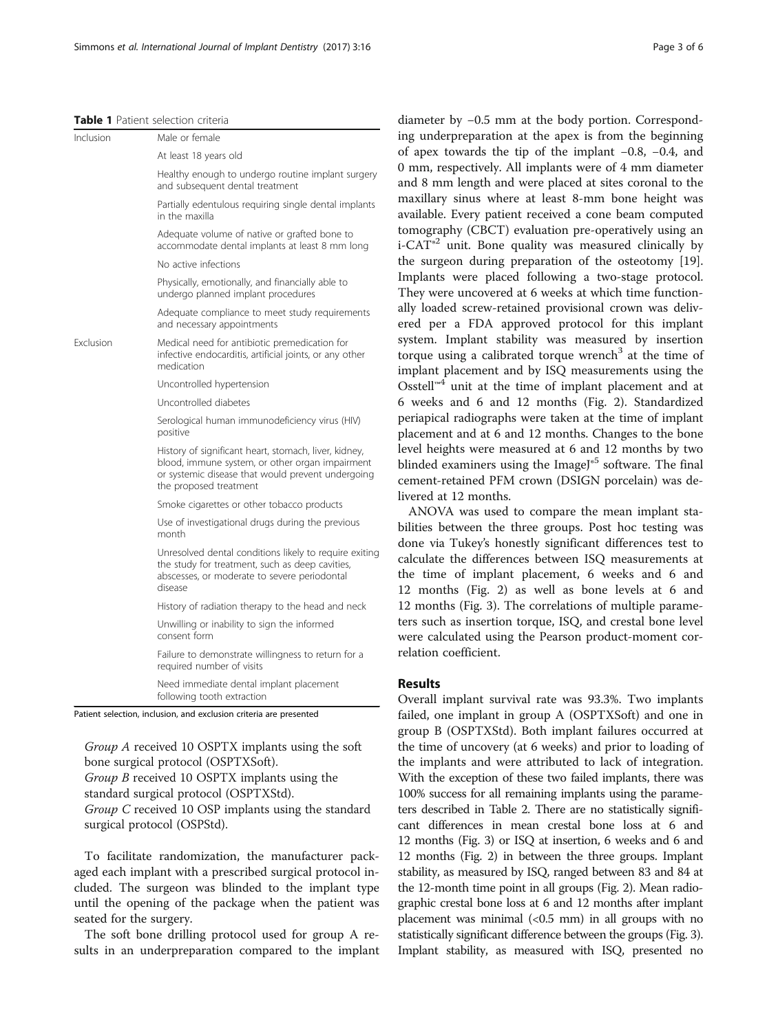#### <span id="page-2-0"></span>Table 1 Patient selection criteria

| Inclusion        | Male or female                                                                                                                                                                          |
|------------------|-----------------------------------------------------------------------------------------------------------------------------------------------------------------------------------------|
|                  | At least 18 years old                                                                                                                                                                   |
|                  | Healthy enough to undergo routine implant surgery<br>and subsequent dental treatment                                                                                                    |
|                  | Partially edentulous requiring single dental implants<br>in the maxilla                                                                                                                 |
|                  | Adequate volume of native or grafted bone to<br>accommodate dental implants at least 8 mm long                                                                                          |
|                  | No active infections                                                                                                                                                                    |
|                  | Physically, emotionally, and financially able to<br>undergo planned implant procedures                                                                                                  |
|                  | Adequate compliance to meet study requirements<br>and necessary appointments                                                                                                            |
| <b>Fxclusion</b> | Medical need for antibiotic premedication for<br>infective endocarditis, artificial joints, or any other<br>medication                                                                  |
|                  | Uncontrolled hypertension                                                                                                                                                               |
|                  | Uncontrolled diabetes                                                                                                                                                                   |
|                  | Serological human immunodeficiency virus (HIV)<br>positive                                                                                                                              |
|                  | History of significant heart, stomach, liver, kidney,<br>blood, immune system, or other organ impairment<br>or systemic disease that would prevent undergoing<br>the proposed treatment |
|                  | Smoke cigarettes or other tobacco products                                                                                                                                              |
|                  | Use of investigational drugs during the previous<br>month                                                                                                                               |
|                  | Unresolved dental conditions likely to require exiting<br>the study for treatment, such as deep cavities,<br>abscesses, or moderate to severe periodontal<br>disease                    |
|                  | History of radiation therapy to the head and neck                                                                                                                                       |
|                  | Unwilling or inability to sign the informed<br>consent form                                                                                                                             |
|                  | Failure to demonstrate willingness to return for a<br>required number of visits                                                                                                         |
|                  | Need immediate dental implant placement<br>following tooth extraction                                                                                                                   |

Group A received 10 OSPTX implants using the soft bone surgical protocol (OSPTXSoft). Group B received 10 OSPTX implants using the standard surgical protocol (OSPTXStd).

Group C received 10 OSP implants using the standard surgical protocol (OSPStd).

To facilitate randomization, the manufacturer packaged each implant with a prescribed surgical protocol included. The surgeon was blinded to the implant type until the opening of the package when the patient was seated for the surgery.

The soft bone drilling protocol used for group A results in an underpreparation compared to the implant diameter by −0.5 mm at the body portion. Corresponding underpreparation at the apex is from the beginning of apex towards the tip of the implant −0.8, −0.4, and 0 mm, respectively. All implants were of 4 mm diameter and 8 mm length and were placed at sites coronal to the maxillary sinus where at least 8-mm bone height was available. Every patient received a cone beam computed tomography (CBCT) evaluation pre-operatively using an  $i$ -CAT<sup>®2</sup> unit. Bone quality was measured clinically by the surgeon during preparation of the osteotomy [\[19](#page-5-0)]. Implants were placed following a two-stage protocol. They were uncovered at 6 weeks at which time functionally loaded screw-retained provisional crown was delivered per a FDA approved protocol for this implant system. Implant stability was measured by insertion torque using a calibrated torque wrench<sup>3</sup> at the time of implant placement and by ISQ measurements using the Osstell™<sup>4</sup> unit at the time of implant placement and at 6 weeks and 6 and 12 months (Fig. [2\)](#page-3-0). Standardized periapical radiographs were taken at the time of implant placement and at 6 and 12 months. Changes to the bone level heights were measured at 6 and 12 months by two blinded examiners using the Image $J^{\circ5}$  software. The final cement-retained PFM crown (DSIGN porcelain) was delivered at 12 months.

ANOVA was used to compare the mean implant stabilities between the three groups. Post hoc testing was done via Tukey's honestly significant differences test to calculate the differences between ISQ measurements at the time of implant placement, 6 weeks and 6 and 12 months (Fig. [2\)](#page-3-0) as well as bone levels at 6 and 12 months (Fig. [3](#page-3-0)). The correlations of multiple parameters such as insertion torque, ISQ, and crestal bone level were calculated using the Pearson product-moment correlation coefficient.

#### Results

Overall implant survival rate was 93.3%. Two implants failed, one implant in group A (OSPTXSoft) and one in group B (OSPTXStd). Both implant failures occurred at the time of uncovery (at 6 weeks) and prior to loading of the implants and were attributed to lack of integration. With the exception of these two failed implants, there was 100% success for all remaining implants using the parameters described in Table [2.](#page-4-0) There are no statistically significant differences in mean crestal bone loss at 6 and 12 months (Fig. [3\)](#page-3-0) or ISQ at insertion, 6 weeks and 6 and 12 months (Fig. [2](#page-3-0)) in between the three groups. Implant stability, as measured by ISQ, ranged between 83 and 84 at the 12-month time point in all groups (Fig. [2\)](#page-3-0). Mean radiographic crestal bone loss at 6 and 12 months after implant placement was minimal  $\left($ <0.5 mm) in all groups with no statistically significant difference between the groups (Fig. [3](#page-3-0)). Implant stability, as measured with ISQ, presented no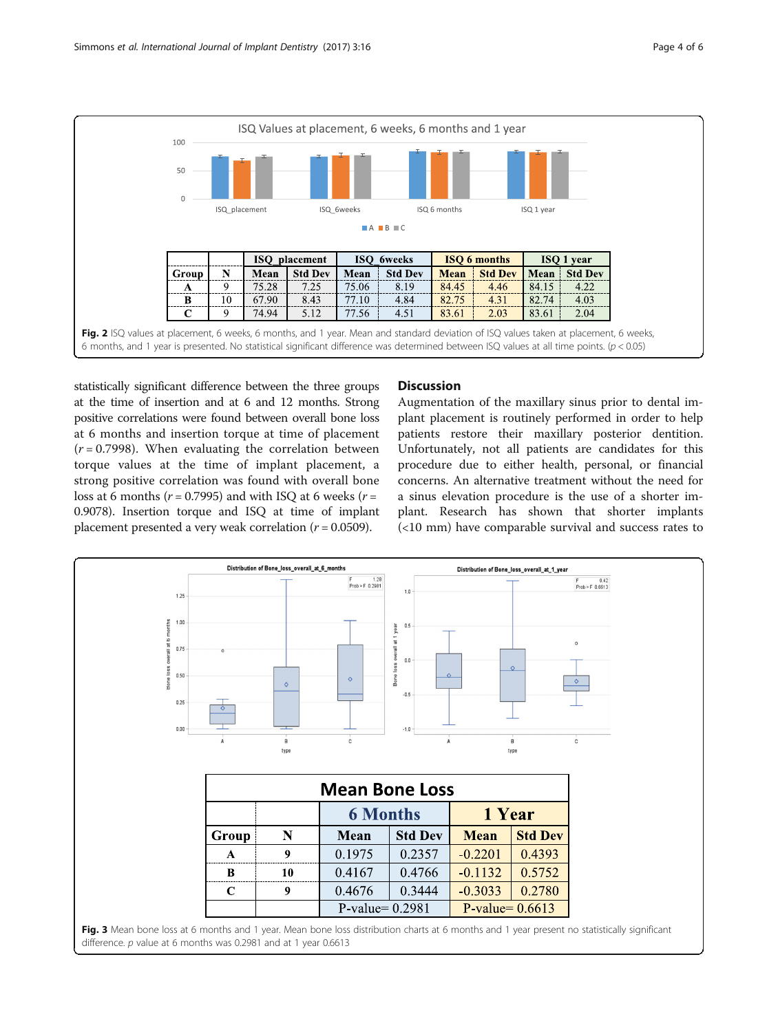<span id="page-3-0"></span>

statistically significant difference between the three groups at the time of insertion and at 6 and 12 months. Strong positive correlations were found between overall bone loss at 6 months and insertion torque at time of placement  $(r = 0.7998)$ . When evaluating the correlation between torque values at the time of implant placement, a strong positive correlation was found with overall bone loss at 6 months ( $r = 0.7995$ ) and with ISQ at 6 weeks ( $r =$ 0.9078). Insertion torque and ISQ at time of implant placement presented a very weak correlation ( $r = 0.0509$ ).

#### **Discussion**

Augmentation of the maxillary sinus prior to dental implant placement is routinely performed in order to help patients restore their maxillary posterior dentition. Unfortunately, not all patients are candidates for this procedure due to either health, personal, or financial concerns. An alternative treatment without the need for a sinus elevation procedure is the use of a shorter implant. Research has shown that shorter implants (<10 mm) have comparable survival and success rates to

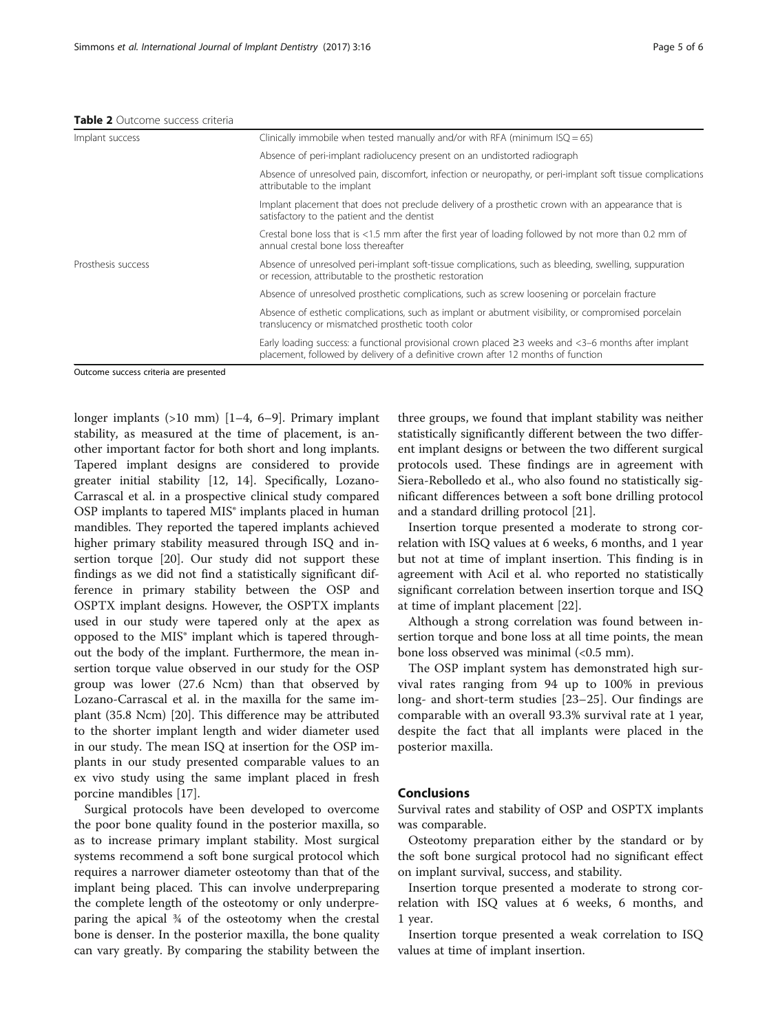<span id="page-4-0"></span>

| Implant success    | Clinically immobile when tested manually and/or with RFA (minimum $ISQ = 65$ )                                                                                                                 |
|--------------------|------------------------------------------------------------------------------------------------------------------------------------------------------------------------------------------------|
|                    | Absence of peri-implant radiolucency present on an undistorted radiograph                                                                                                                      |
|                    | Absence of unresolved pain, discomfort, infection or neuropathy, or peri-implant soft tissue complications<br>attributable to the implant                                                      |
|                    | Implant placement that does not preclude delivery of a prosthetic crown with an appearance that is<br>satisfactory to the patient and the dentist                                              |
|                    | Crestal bone loss that is <1.5 mm after the first year of loading followed by not more than 0.2 mm of<br>annual crestal bone loss thereafter                                                   |
| Prosthesis success | Absence of unresolved peri-implant soft-tissue complications, such as bleeding, swelling, suppuration<br>or recession, attributable to the prosthetic restoration                              |
|                    | Absence of unresolved prosthetic complications, such as screw loosening or porcelain fracture                                                                                                  |
|                    | Absence of esthetic complications, such as implant or abutment visibility, or compromised porcelain<br>translucency or mismatched prosthetic tooth color                                       |
|                    | Early loading success: a functional provisional crown placed $\geq$ 3 weeks and <3-6 months after implant<br>placement, followed by delivery of a definitive crown after 12 months of function |

Outcome success criteria are presented

longer implants (>10 mm) [\[1](#page-5-0)–[4](#page-5-0), [6](#page-5-0)–[9](#page-5-0)]. Primary implant stability, as measured at the time of placement, is another important factor for both short and long implants. Tapered implant designs are considered to provide greater initial stability [[12, 14](#page-5-0)]. Specifically, Lozano-Carrascal et al. in a prospective clinical study compared OSP implants to tapered MIS® implants placed in human mandibles. They reported the tapered implants achieved higher primary stability measured through ISQ and insertion torque [[20](#page-5-0)]. Our study did not support these findings as we did not find a statistically significant difference in primary stability between the OSP and OSPTX implant designs. However, the OSPTX implants used in our study were tapered only at the apex as opposed to the MIS® implant which is tapered throughout the body of the implant. Furthermore, the mean insertion torque value observed in our study for the OSP group was lower (27.6 Ncm) than that observed by Lozano-Carrascal et al. in the maxilla for the same implant (35.8 Ncm) [[20\]](#page-5-0). This difference may be attributed to the shorter implant length and wider diameter used in our study. The mean ISQ at insertion for the OSP implants in our study presented comparable values to an ex vivo study using the same implant placed in fresh porcine mandibles [\[17\]](#page-5-0).

Surgical protocols have been developed to overcome the poor bone quality found in the posterior maxilla, so as to increase primary implant stability. Most surgical systems recommend a soft bone surgical protocol which requires a narrower diameter osteotomy than that of the implant being placed. This can involve underpreparing the complete length of the osteotomy or only underpreparing the apical ¾ of the osteotomy when the crestal bone is denser. In the posterior maxilla, the bone quality can vary greatly. By comparing the stability between the

three groups, we found that implant stability was neither statistically significantly different between the two different implant designs or between the two different surgical protocols used. These findings are in agreement with Siera-Rebolledo et al., who also found no statistically significant differences between a soft bone drilling protocol and a standard drilling protocol [\[21\]](#page-5-0).

Insertion torque presented a moderate to strong correlation with ISQ values at 6 weeks, 6 months, and 1 year but not at time of implant insertion. This finding is in agreement with Acil et al. who reported no statistically significant correlation between insertion torque and ISQ at time of implant placement [\[22\]](#page-5-0).

Although a strong correlation was found between insertion torque and bone loss at all time points, the mean bone loss observed was minimal  $\left($ <0.5 mm).

The OSP implant system has demonstrated high survival rates ranging from 94 up to 100% in previous long- and short-term studies [\[23](#page-5-0)–[25](#page-5-0)]. Our findings are comparable with an overall 93.3% survival rate at 1 year, despite the fact that all implants were placed in the posterior maxilla.

#### Conclusions

Survival rates and stability of OSP and OSPTX implants was comparable.

Osteotomy preparation either by the standard or by the soft bone surgical protocol had no significant effect on implant survival, success, and stability.

Insertion torque presented a moderate to strong correlation with ISQ values at 6 weeks, 6 months, and 1 year.

Insertion torque presented a weak correlation to ISQ values at time of implant insertion.